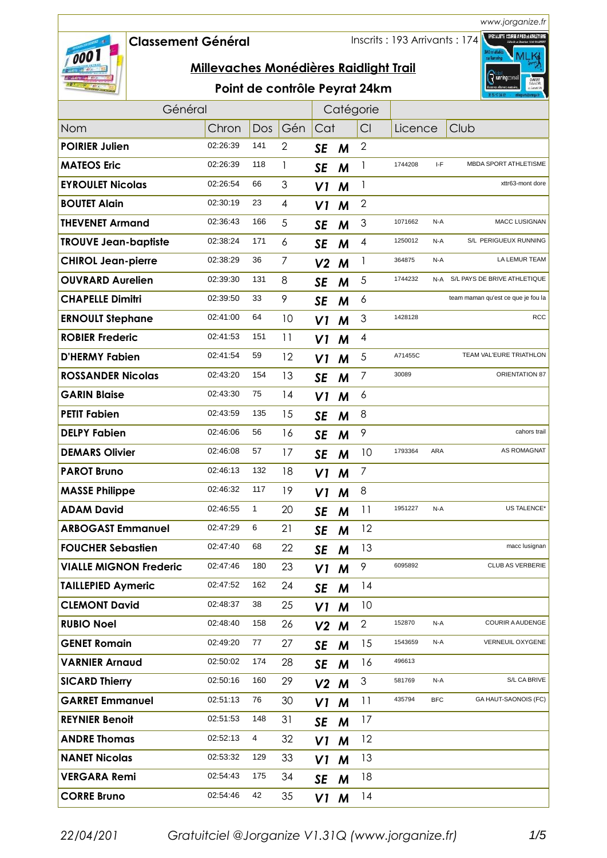## **Classement GÈnÈral**

000

Inscrits : 193 Arrivants : 174



|  |  | Point de contrôle Peyrat 24km |
|--|--|-------------------------------|
|--|--|-------------------------------|

| Général                       |          |     | Catégorie       |                |   |                 |         |            |                                    |
|-------------------------------|----------|-----|-----------------|----------------|---|-----------------|---------|------------|------------------------------------|
| Nom                           | Chron    | Dos | Gén             | Cat            |   | Cl              | Licence |            | Club                               |
| <b>POIRIER Julien</b>         | 02:26:39 | 141 | 2               | <b>SE</b>      | M | 2               |         |            |                                    |
| <b>MATEOS Eric</b>            | 02:26:39 | 118 | 1               | SE             | M | 1               | 1744208 | I-F        | <b>MBDA SPORT ATHLETISME</b>       |
| <b>EYROULET Nicolas</b>       | 02:26:54 | 66  | 3               | V1             | M | 1               |         |            | xttr63-mont dore                   |
| <b>BOUTET Alain</b>           | 02:30:19 | 23  | 4               | V1             | M | $\overline{2}$  |         |            |                                    |
| <b>THEVENET Armand</b>        | 02:36:43 | 166 | 5               | SE             | M | $\mathfrak 3$   | 1071662 | N-A        | <b>MACC LUSIGNAN</b>               |
| <b>TROUVE Jean-baptiste</b>   | 02:38:24 | 171 | 6               | <b>SE</b>      | M | 4               | 1250012 | N-A        | S/L PERIGUEUX RUNNING              |
| <b>CHIROL Jean-pierre</b>     | 02:38:29 | 36  | 7               | V <sub>2</sub> | M | 1               | 364875  | N-A        | LA LEMUR TEAM                      |
| <b>OUVRARD Aurelien</b>       | 02:39:30 | 131 | 8               | <b>SE</b>      | M | 5               | 1744232 | N-A        | S/L PAYS DE BRIVE ATHLETIQUE       |
| <b>CHAPELLE Dimitri</b>       | 02:39:50 | 33  | 9               | <b>SE</b>      | M | 6               |         |            | team maman qu'est ce que je fou la |
| <b>ERNOULT Stephane</b>       | 02:41:00 | 64  | 10              | V1             | M | 3               | 1428128 |            | <b>RCC</b>                         |
| <b>ROBIER Frederic</b>        | 02:41:53 | 151 | $\overline{11}$ | V1             | M | 4               |         |            |                                    |
| <b>D'HERMY Fabien</b>         | 02:41:54 | 59  | 12              | V1             | M | 5               | A71455C |            | TEAM VAL'EURE TRIATHLON            |
| <b>ROSSANDER Nicolas</b>      | 02:43:20 | 154 | 13              | <b>SE</b>      | M | 7               | 30089   |            | ORIENTATION 87                     |
| <b>GARIN Blaise</b>           | 02:43:30 | 75  | 14              | V1             | M | 6               |         |            |                                    |
| <b>PETIT Fabien</b>           | 02:43:59 | 135 | 15              | <b>SE</b>      | M | 8               |         |            |                                    |
| <b>DELPY Fabien</b>           | 02:46:06 | 56  | 16              | <b>SE</b>      | M | 9               |         |            | cahors trail                       |
| <b>DEMARS Olivier</b>         | 02:46:08 | 57  | 17              | <b>SE</b>      | M | 10              | 1793364 | ARA        | AS ROMAGNAT                        |
| <b>PAROT Bruno</b>            | 02:46:13 | 132 | 18              | V1             | M | $\overline{7}$  |         |            |                                    |
| <b>MASSE Philippe</b>         | 02:46:32 | 117 | 19              | V1             | M | 8               |         |            |                                    |
| <b>ADAM David</b>             | 02:46:55 | 1   | 20              | <b>SE</b>      | M | $\overline{11}$ | 1951227 | N-A        | US TALENCE*                        |
| <b>ARBOGAST Emmanuel</b>      | 02:47:29 | 6   | 21              | SE             | M | 12              |         |            |                                    |
| <b>FOUCHER Sebastien</b>      | 02:47:40 | 68  | 22              | <b>SE</b>      | M | 13              |         |            | macc lusignan                      |
| <b>VIALLE MIGNON Frederic</b> | 02:47:46 | 180 | 23              | V1             | M | 9               | 6095892 |            | CLUB AS VERBERIE                   |
| <b>TAILLEPIED Aymeric</b>     | 02:47:52 | 162 | 24              | <b>SE</b>      | M | 14              |         |            |                                    |
| <b>CLEMONT David</b>          | 02:48:37 | 38  | 25              | V1             | M | 10              |         |            |                                    |
| <b>RUBIO Noel</b>             | 02:48:40 | 158 | 26              | V <sub>2</sub> | M | $\mathbf{2}$    | 152870  | N-A        | <b>COURIR A AUDENGE</b>            |
| <b>GENET Romain</b>           | 02:49:20 | 77  | 27              | SE             | M | 15              | 1543659 | N-A        | VERNEUIL OXYGENE                   |
| <b>VARNIER Arnaud</b>         | 02:50:02 | 174 | 28              | <b>SE</b>      | M | 16              | 496613  |            |                                    |
| <b>SICARD Thierry</b>         | 02:50:16 | 160 | 29              | $V2$ M         |   | 3               | 581769  | N-A        | S/L CA BRIVE                       |
| <b>GARRET Emmanuel</b>        | 02:51:13 | 76  | 30              | V1             | M | 11              | 435794  | <b>BFC</b> | GA HAUT-SAONOIS (FC)               |
| <b>REYNIER Benoit</b>         | 02:51:53 | 148 | 31              | <b>SE</b>      | M | 17              |         |            |                                    |
| <b>ANDRE Thomas</b>           | 02:52:13 | 4   | 32              | V1             | M | 12              |         |            |                                    |
| <b>NANET Nicolas</b>          | 02:53:32 | 129 | 33              | V1             | M | 13              |         |            |                                    |
| <b>VERGARA Remi</b>           | 02:54:43 | 175 | 34              | <b>SE</b>      | M | 18              |         |            |                                    |
| <b>CORRE Bruno</b>            | 02:54:46 | 42  | 35              | V1 M           |   | 4               |         |            |                                    |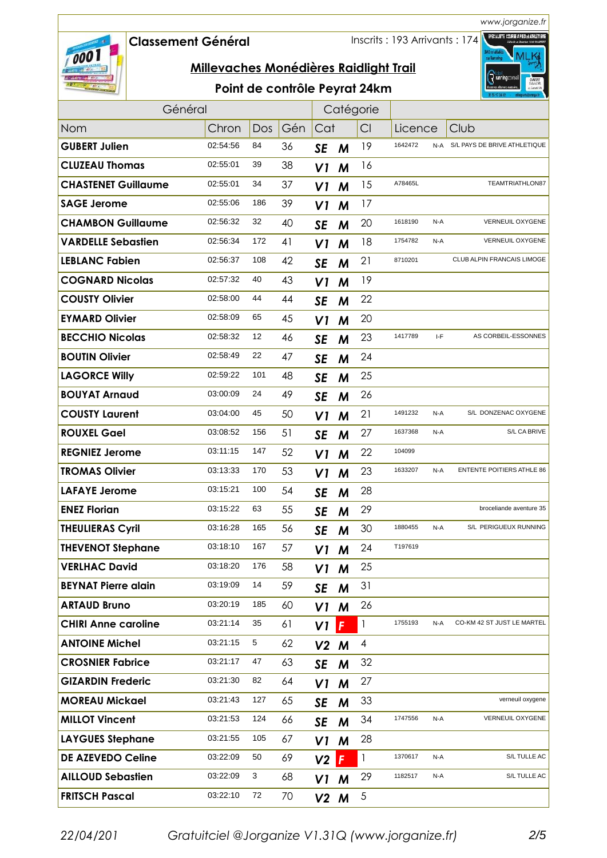## **Classement GÈnÈral**

000

Inscrits : 193 Arrivants : 174



| Point de contrôle Peyrat 24km |  |
|-------------------------------|--|
|-------------------------------|--|

| Général                    |          |     |     | Catégorie      |              |              |         |     |                                  |
|----------------------------|----------|-----|-----|----------------|--------------|--------------|---------|-----|----------------------------------|
| <b>Nom</b>                 | Chron    | Dos | Gén | Cat            |              | CI           | Licence |     | Club                             |
| <b>GUBERT Julien</b>       | 02:54:56 | 84  | 36  | <b>SE</b>      | M            | 19           | 1642472 | N-A | S/L PAYS DE BRIVE ATHLETIQUE     |
| <b>CLUZEAU Thomas</b>      | 02:55:01 | 39  | 38  | VI             | M            | 16           |         |     |                                  |
| <b>CHASTENET Guillaume</b> | 02:55:01 | 34  | 37  | V1             | M            | 15           | A78465L |     | TEAMTRIATHLON87                  |
| <b>SAGE Jerome</b>         | 02:55:06 | 186 | 39  | VI             | M            | 17           |         |     |                                  |
| <b>CHAMBON Guillaume</b>   | 02:56:32 | 32  | 40  | SE             | M            | 20           | 1618190 | N-A | VERNEUIL OXYGENE                 |
| <b>VARDELLE Sebastien</b>  | 02:56:34 | 172 | 41  | V1             | M            | 18           | 1754782 | N-A | VERNEUIL OXYGENE                 |
| <b>LEBLANC Fabien</b>      | 02:56:37 | 108 | 42  | <b>SE</b>      | M            | 21           | 8710201 |     | CLUB ALPIN FRANCAIS LIMOGE       |
| <b>COGNARD Nicolas</b>     | 02:57:32 | 40  | 43  | VI             | M            | 19           |         |     |                                  |
| <b>COUSTY Olivier</b>      | 02:58:00 | 44  | 44  | <b>SE</b>      | M            | 22           |         |     |                                  |
| <b>EYMARD Olivier</b>      | 02:58:09 | 65  | 45  | VI             | M            | 20           |         |     |                                  |
| <b>BECCHIO Nicolas</b>     | 02:58:32 | 12  | 46  | <b>SE</b>      | M            | 23           | 1417789 | I-F | AS CORBEIL-ESSONNES              |
| <b>BOUTIN Olivier</b>      | 02:58:49 | 22  | 47  | <b>SE</b>      | M            | 24           |         |     |                                  |
| <b>LAGORCE Willy</b>       | 02:59:22 | 101 | 48  | <b>SE</b>      | M            | 25           |         |     |                                  |
| <b>BOUYAT Arnaud</b>       | 03:00:09 | 24  | 49  | <b>SE</b>      | M            | 26           |         |     |                                  |
| <b>COUSTY Laurent</b>      | 03:04:00 | 45  | 50  | V1             | M            | 21           | 1491232 | N-A | S/L DONZENAC OXYGENE             |
| <b>ROUXEL Gael</b>         | 03:08:52 | 156 | 51  | <b>SE</b>      | M            | 27           | 1637368 | N-A | S/L CA BRIVE                     |
| <b>REGNIEZ Jerome</b>      | 03:11:15 | 147 | 52  | V1             | M            | 22           | 104099  |     |                                  |
| <b>TROMAS Olivier</b>      | 03:13:33 | 170 | 53  | VI             | M            | 23           | 1633207 | N-A | <b>ENTENTE POITIERS ATHLE 86</b> |
| <b>LAFAYE Jerome</b>       | 03:15:21 | 100 | 54  | <b>SE</b>      | M            | 28           |         |     |                                  |
| <b>ENEZ Florian</b>        | 03:15:22 | 63  | 55  | <b>SE</b>      | M            | 29           |         |     | broceliande aventure 35          |
| <b>THEULIERAS Cyril</b>    | 03:16:28 | 165 | 56  | <b>SE</b>      | M            | 30           | 1880455 | N-A | S/L PERIGUEUX RUNNING            |
| <b>THEVENOT Stephane</b>   | 03:18:10 | 167 | 57  | V1             | M            | 24           | T197619 |     |                                  |
| <b>VERLHAC David</b>       | 03:18:20 | 176 | 58  | V1             | M            | 25           |         |     |                                  |
| <b>BEYNAT Pierre alain</b> | 03:19:09 | 14  | 59  | <b>SE</b>      | M            | 31           |         |     |                                  |
| <b>ARTAUD Bruno</b>        | 03:20:19 | 185 | 60  | V1             | M            | 26           |         |     |                                  |
| <b>CHIRI Anne caroline</b> | 03:21:14 | 35  | 61  | V1             | F            | $\mathbf{I}$ | 1755193 | N-A | CO-KM 42 ST JUST LE MARTEL       |
| <b>ANTOINE Michel</b>      | 03:21:15 | 5   | 62  | V <sub>2</sub> | M            | 4            |         |     |                                  |
| <b>CROSNIER Fabrice</b>    | 03:21:17 | 47  | 63  | SE             | M            | 32           |         |     |                                  |
| <b>GIZARDIN Frederic</b>   | 03:21:30 | 82  | 64  | V1             | M            | 27           |         |     |                                  |
| <b>MOREAU Mickael</b>      | 03:21:43 | 127 | 65  | SE             | M            | 33           |         |     | verneuil oxygene                 |
| <b>MILLOT Vincent</b>      | 03:21:53 | 124 | 66  | <b>SE</b>      | M            | 34           | 1747556 | N-A | VERNEUIL OXYGENE                 |
| <b>LAYGUES Stephane</b>    | 03:21:55 | 105 | 67  | V1             | M            | 28           |         |     |                                  |
| <b>DE AZEVEDO Celine</b>   | 03:22:09 | 50  | 69  | V <sub>2</sub> | $\mathbf{F}$ | 1            | 1370617 | N-A | S/L TULLE AC                     |
| <b>AILLOUD Sebastien</b>   | 03:22:09 | 3   | 68  | V1             | M            | 29           | 1182517 | N-A | S/L TULLE AC                     |
| <b>FRITSCH Pascal</b>      | 03:22:10 | 72  | 70  | $V2$ M         |              | $\sqrt{5}$   |         |     |                                  |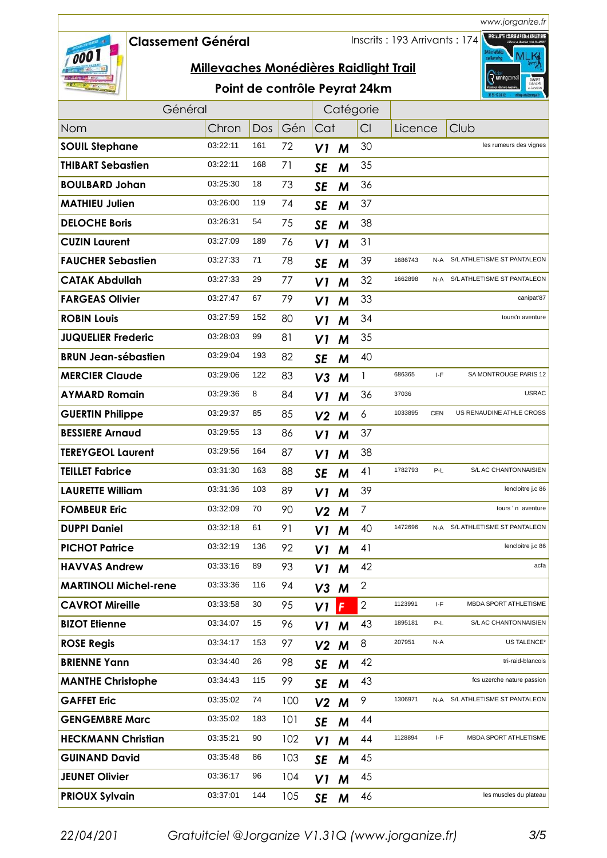*www.jorganize.fr* FPECIALISTE COURSE A PIED & ATHLÉTI

#### **Classement GÈnÈral**

Inscrits : 193 Arrivants : 174



## **Millevaches Monédières Raidlight Trail**

## Point de contrôle Peyrat 24km

|                              | Général  |     |     |                | Catégorie |                |         |            |                                 |
|------------------------------|----------|-----|-----|----------------|-----------|----------------|---------|------------|---------------------------------|
| Nom                          | Chron    | Dos | Gén | Cat            |           | CI             | Licence |            | Club                            |
| <b>SOUIL Stephane</b>        | 03:22:11 | 161 | 72  | V1             | M         | 30             |         |            | les rumeurs des vignes          |
| <b>THIBART Sebastien</b>     | 03:22:11 | 168 | 71  | <b>SE</b>      | M         | 35             |         |            |                                 |
| <b>BOULBARD Johan</b>        | 03:25:30 | 18  | 73  | <b>SE</b>      | M         | 36             |         |            |                                 |
| <b>MATHIEU Julien</b>        | 03:26:00 | 119 | 74  | <b>SE</b>      | M         | 37             |         |            |                                 |
| <b>DELOCHE Boris</b>         | 03:26:31 | 54  | 75  | <b>SE</b>      | M         | 38             |         |            |                                 |
| <b>CUZIN Laurent</b>         | 03:27:09 | 189 | 76  | VI             | M         | 31             |         |            |                                 |
| <b>FAUCHER Sebastien</b>     | 03:27:33 | 71  | 78  | <b>SE</b>      | M         | 39             | 1686743 | N-A        | S/L ATHLETISME ST PANTALEON     |
| <b>CATAK Abdullah</b>        | 03:27:33 | 29  | 77  | V1             | M         | 32             | 1662898 | N-A        | S/L ATHLETISME ST PANTALEON     |
| <b>FARGEAS Olivier</b>       | 03:27:47 | 67  | 79  | VI             | M         | 33             |         |            | canipat'87                      |
| <b>ROBIN Louis</b>           | 03:27:59 | 152 | 80  | VI             | M         | 34             |         |            | tours'n aventure                |
| <b>JUQUELIER Frederic</b>    | 03:28:03 | 99  | 81  | VI             | M         | 35             |         |            |                                 |
| <b>BRUN Jean-sébastien</b>   | 03:29:04 | 193 | 82  | <b>SE</b>      | M         | 40             |         |            |                                 |
| <b>MERCIER Claude</b>        | 03:29:06 | 122 | 83  | V3             | M         | 1              | 686365  | I-F        | SA MONTROUGE PARIS 12           |
| <b>AYMARD Romain</b>         | 03:29:36 | 8   | 84  | V1             | M         | 36             | 37036   |            | <b>USRAC</b>                    |
| <b>GUERTIN Philippe</b>      | 03:29:37 | 85  | 85  | V <sub>2</sub> | M         | 6              | 1033895 | <b>CEN</b> | US RENAUDINE ATHLE CROSS        |
| <b>BESSIERE Arnaud</b>       | 03:29:55 | 13  | 86  | VI             | M         | 37             |         |            |                                 |
| <b>TEREYGEOL Laurent</b>     | 03:29:56 | 164 | 87  | V1             | M         | 38             |         |            |                                 |
| <b>TEILLET Fabrice</b>       | 03:31:30 | 163 | 88  | <b>SE</b>      | M         | 41             | 1782793 | P-L        | S/L AC CHANTONNAISIEN           |
| <b>LAURETTE William</b>      | 03:31:36 | 103 | 89  | VI             | M         | 39             |         |            | lencloitre j.c 86               |
| <b>FOMBEUR Eric</b>          | 03:32:09 | 70  | 90  | V <sub>2</sub> | M         | $\overline{7}$ |         |            | tours'n aventure                |
| <b>DUPPI Daniel</b>          | 03:32:18 | 61  | 91  | V1             | M         | 40             | 1472696 |            | N-A S/L ATHLETISME ST PANTALEON |
| <b>PICHOT Patrice</b>        | 03:32:19 | 136 | 92  | V1             | M         | 41             |         |            | lencloitre j.c 86               |
| <b>HAVVAS Andrew</b>         | 03:33:16 | 89  | 93  | V1             | M         | 42             |         |            | acfa                            |
| <b>MARTINOLI Michel-rene</b> | 03:33:36 | 116 | 94  | V <sub>3</sub> | M         | $\mathbf{2}$   |         |            |                                 |
| <b>CAVROT Mireille</b>       | 03:33:58 | 30  | 95  | V1             | F         | $\mathbf{2}$   | 1123991 | I-F        | MBDA SPORT ATHLETISME           |
| <b>BIZOT Elienne</b>         | 03:34:07 | 15  | 96  | V <sub>1</sub> | M         | 43             | 1895181 | P-L        | S/L AC CHANTONNAISIEN           |
| <b>ROSE Regis</b>            | 03:34:17 | 153 | 97  | V <sub>2</sub> | M         | 8              | 207951  | N-A        | US TALENCE*                     |
| <b>BRIENNE Yann</b>          | 03:34:40 | 26  | 98  | <b>SE</b>      | M         | 42             |         |            | tri-raid-blancois               |
| <b>MANTHE Christophe</b>     | 03:34:43 | 115 | 99  | <b>SE</b>      | M         | 43             |         |            | fcs uzerche nature passion      |
| <b>GAFFET Eric</b>           | 03:35:02 | 74  | 100 | V <sub>2</sub> | M         | 9              | 1306971 | N-A        | S/L ATHLETISME ST PANTALEON     |
| <b>GENGEMBRE Marc</b>        | 03:35:02 | 183 | 101 | <b>SE</b>      | M         | 44             |         |            |                                 |
| <b>HECKMANN Christian</b>    | 03:35:21 | 90  | 102 | V1             | M         | 44             | 1128894 | I-F        | MBDA SPORT ATHLETISME           |
| <b>GUINAND David</b>         | 03:35:48 | 86  | 103 | <b>SE</b>      | M         | 45             |         |            |                                 |
| <b>JEUNET Olivier</b>        | 03:36:17 | 96  | 104 | VI             | M         | 45             |         |            |                                 |
| <b>PRIOUX Sylvain</b>        | 03:37:01 | 144 | 105 | <b>SE</b>      | M         | 46             |         |            | les muscles du plateau          |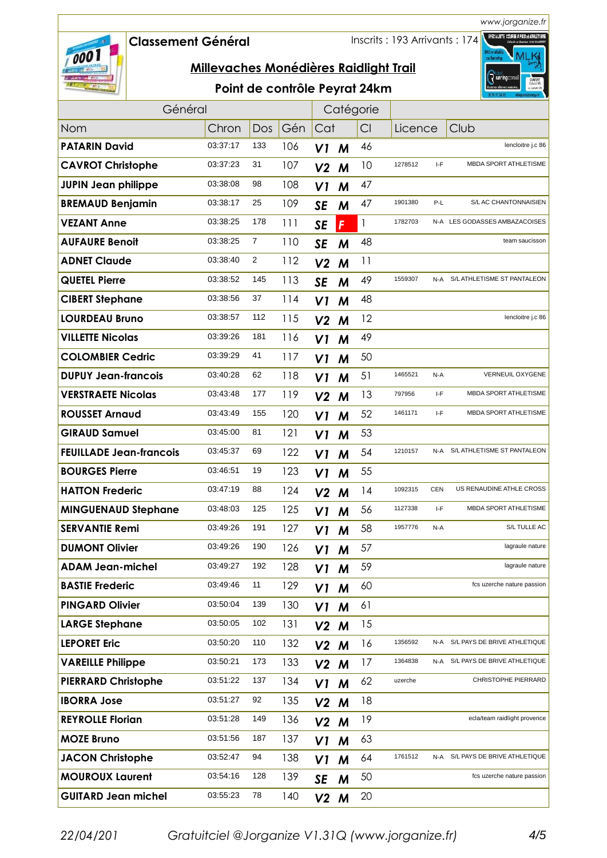# 000

## **Classement GÈnÈral**

Inscrits : 193 Arrivants : 174



|  |  | Point de contrôle Peyrat 24km |
|--|--|-------------------------------|
|--|--|-------------------------------|

| Général                        |          |                |     | Catégorie      |   |    |         |            |                               |
|--------------------------------|----------|----------------|-----|----------------|---|----|---------|------------|-------------------------------|
| Nom                            | Chron    | Dos            | Gén | Cat            |   | Cl | Licence |            | Club                          |
| <b>PATARIN David</b>           | 03:37:17 | 133            | 106 | VI             | M | 46 |         |            | lencloitre j.c 86             |
| <b>CAVROT Christophe</b>       | 03:37:23 | 31             | 107 | V <sub>2</sub> | M | 10 | 1278512 | I-F        | MBDA SPORT ATHLETISME         |
| <b>JUPIN Jean philippe</b>     | 03:38:08 | 98             | 108 | V1             | M | 47 |         |            |                               |
| <b>BREMAUD Benjamin</b>        | 03:38:17 | 25             | 109 | <b>SE</b>      | M | 47 | 1901380 | P-L        | S/L AC CHANTONNAISIEN         |
| <b>VEZANT Anne</b>             | 03:38:25 | 178            | 111 | <b>SE</b>      | F | 1  | 1782703 |            | N-A LES GODASSES AMBAZACOISES |
| <b>AUFAURE Benoit</b>          | 03:38:25 | 7              | 110 | <b>SE</b>      | M | 48 |         |            | team saucisson                |
| <b>ADNET Claude</b>            | 03:38:40 | $\overline{2}$ | 112 | V <sub>2</sub> | M | 11 |         |            |                               |
| <b>QUETEL Pierre</b>           | 03:38:52 | 145            | 113 | <b>SE</b>      | M | 49 | 1559307 | N-A        | S/L ATHLETISME ST PANTALEON   |
| <b>CIBERT Stephane</b>         | 03:38:56 | 37             | 114 | VI             | M | 48 |         |            |                               |
| <b>LOURDEAU Bruno</b>          | 03:38:57 | 112            | 115 | V <sub>2</sub> | M | 12 |         |            | lencloitre j.c 86             |
| <b>VILLETTE Nicolas</b>        | 03:39:26 | 181            | 116 | V1             | M | 49 |         |            |                               |
| <b>COLOMBIER Cedric</b>        | 03:39:29 | 41             | 117 | V1             | M | 50 |         |            |                               |
| <b>DUPUY Jean-francois</b>     | 03:40:28 | 62             | 118 | V1             | M | 51 | 1465521 | N-A        | VERNEUIL OXYGENE              |
| <b>VERSTRAETE Nicolas</b>      | 03:43:48 | 177            | 119 | V <sub>2</sub> | M | 13 | 797956  | I-F        | <b>MBDA SPORT ATHLETISME</b>  |
| <b>ROUSSET Arnaud</b>          | 03:43:49 | 155            | 120 | V1             | M | 52 | 1461171 | I-F        | MBDA SPORT ATHLETISME         |
| <b>GIRAUD Samuel</b>           | 03:45:00 | 81             | 121 | VI             | M | 53 |         |            |                               |
| <b>FEUILLADE Jean-francois</b> | 03:45:37 | 69             | 122 | V1             | M | 54 | 1210157 | N-A        | S/L ATHLETISME ST PANTALEON   |
| <b>BOURGES Pierre</b>          | 03:46:51 | 19             | 123 | VI             | M | 55 |         |            |                               |
| <b>HATTON Frederic</b>         | 03:47:19 | 88             | 124 | V <sub>2</sub> | M | 14 | 1092315 | <b>CEN</b> | US RENAUDINE ATHLE CROSS      |
| <b>MINGUENAUD Stephane</b>     | 03:48:03 | 125            | 125 | VI             | M | 56 | 1127338 | I-F        | MBDA SPORT ATHLETISME         |
| <b>SERVANTIE Remi</b>          | 03:49:26 | 191            | 127 | V1             | M | 58 | 1957776 | N-A        | S/L TULLE AC                  |
| <b>DUMONT Olivier</b>          | 03:49:26 | 190            | 126 | V1             | M | 57 |         |            | lagraule nature               |
| <b>ADAM Jean-michel</b>        | 03:49:27 | 192            | 128 | V1             | M | 59 |         |            | lagraule nature               |
| <b>BASTIE Frederic</b>         | 03:49:46 | 11             | 129 | VI             | M | 60 |         |            | fcs uzerche nature passion    |
| <b>PINGARD Olivier</b>         | 03:50:04 | 139            | 130 | V1             | M | 61 |         |            |                               |
| <b>LARGE Stephane</b>          | 03:50:05 | 102            | 131 | V <sub>2</sub> | M | 15 |         |            |                               |
| <b>LEPORET Eric</b>            | 03:50:20 | 110            | 132 | V <sub>2</sub> | M | 16 | 1356592 | N-A        | S/L PAYS DE BRIVE ATHLETIQUE  |
| <b>VAREILLE Philippe</b>       | 03:50:21 | 173            | 133 | V <sub>2</sub> | M | 17 | 1364838 | N-A        | S/L PAYS DE BRIVE ATHLETIQUE  |
| <b>PIERRARD Christophe</b>     | 03:51:22 | 137            | 134 | V1             | M | 62 | uzerche |            | CHRISTOPHE PIERRARD           |
| <b>IBORRA Jose</b>             | 03:51:27 | 92             | 135 | $V2$ M         |   | 18 |         |            |                               |
| <b>REYROLLE Florian</b>        | 03:51:28 | 149            | 136 | V <sub>2</sub> | M | 19 |         |            | ecla/team raidlight provence  |
| <b>MOZE Bruno</b>              | 03:51:56 | 187            | 137 | V <sub>1</sub> | M | 63 |         |            |                               |
| <b>JACON Christophe</b>        | 03:52:47 | 94             | 138 | VI             | M | 64 | 1761512 | N-A        | S/L PAYS DE BRIVE ATHLETIQUE  |
| <b>MOUROUX Laurent</b>         | 03:54:16 | 128            | 139 | SE             | M | 50 |         |            | fcs uzerche nature passion    |
| <b>GUITARD Jean michel</b>     | 03:55:23 | 78             | 140 | V <sub>2</sub> | M | 20 |         |            |                               |